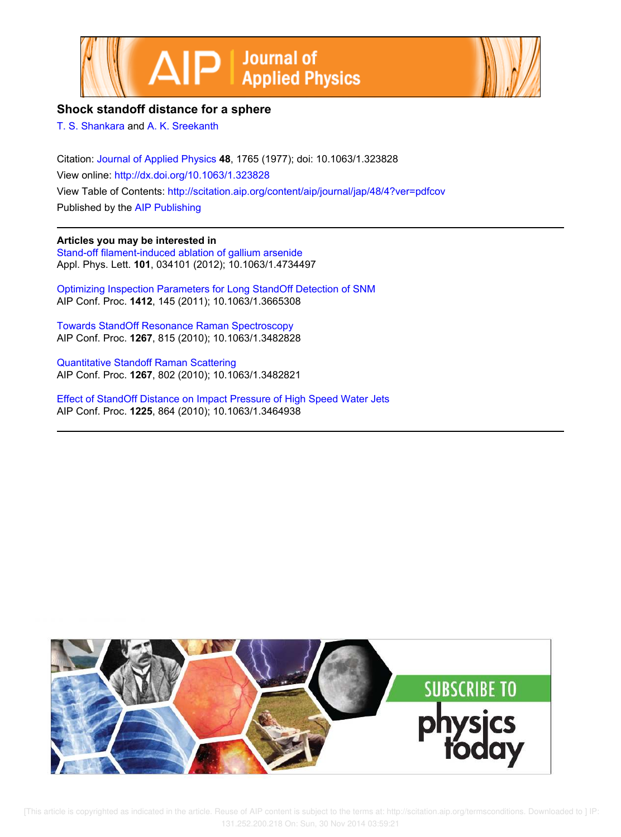



## **Shock standoff distance for a sphere**

T. S. Shankara and A. K. Sreekanth

Citation: Journal of Applied Physics **48**, 1765 (1977); doi: 10.1063/1.323828 View online: http://dx.doi.org/10.1063/1.323828 View Table of Contents: http://scitation.aip.org/content/aip/journal/jap/48/4?ver=pdfcov Published by the AIP Publishing

## **Articles you may be interested in**

Stand-off filament-induced ablation of gallium arsenide Appl. Phys. Lett. **101**, 034101 (2012); 10.1063/1.4734497

Optimizing Inspection Parameters for Long StandOff Detection of SNM AIP Conf. Proc. **1412**, 145 (2011); 10.1063/1.3665308

Towards StandOff Resonance Raman Spectroscopy AIP Conf. Proc. **1267**, 815 (2010); 10.1063/1.3482828

Quantitative Standoff Raman Scattering AIP Conf. Proc. **1267**, 802 (2010); 10.1063/1.3482821

Effect of StandOff Distance on Impact Pressure of High Speed Water Jets AIP Conf. Proc. **1225**, 864 (2010); 10.1063/1.3464938



[This article is copyrighted as indicated in the article. Reuse of AIP content is subject to the terms at: http://scitation.aip.org/termsconditions. Downloaded to ] IP: 131.252.200.218 On: Sun, 30 Nov 2014 03:59:21